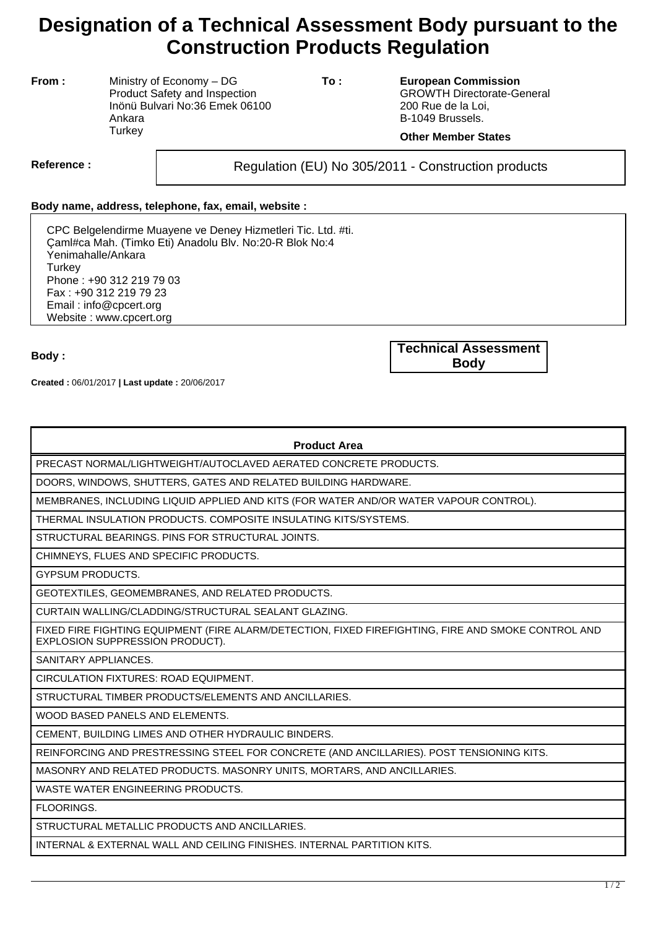## **Designation of a Technical Assessment Body pursuant to the Construction Products Regulation**

**From :** Ministry of Economy – DG Product Safety and Inspection Inönü Bulvari No:36 Emek 06100 Ankara **Turkey** 

**To : European Commission** GROWTH Directorate-General 200 Rue de la Loi, B-1049 Brussels.

## **Other Member States**

Reference : and **Regulation (EU) No 305/2011** - Construction products

## **Body name, address, telephone, fax, email, website :**

CPC Belgelendirme Muayene ve Deney Hizmetleri Tic. Ltd. #ti. Çaml#ca Mah. (Timko Eti) Anadolu Blv. No:20-R Blok No:4 Yenimahalle/Ankara **Turkey** Phone : +90 312 219 79 03 Fax : +90 312 219 79 23 Email : info@cpcert.org Website : www.cpcert.org

**Created :** 06/01/2017 **| Last update :** 20/06/2017

**Body : Technical Assessment Body**

| <b>Product Area</b> |  |
|---------------------|--|
|---------------------|--|

PRECAST NORMAL/LIGHTWEIGHT/AUTOCLAVED AERATED CONCRETE PRODUCTS.

DOORS, WINDOWS, SHUTTERS, GATES AND RELATED BUILDING HARDWARE.

MEMBRANES, INCLUDING LIQUID APPLIED AND KITS (FOR WATER AND/OR WATER VAPOUR CONTROL).

THERMAL INSULATION PRODUCTS. COMPOSITE INSULATING KITS/SYSTEMS.

STRUCTURAL BEARINGS. PINS FOR STRUCTURAL JOINTS.

CHIMNEYS, FLUES AND SPECIFIC PRODUCTS.

GYPSUM PRODUCTS.

GEOTEXTILES, GEOMEMBRANES, AND RELATED PRODUCTS.

CURTAIN WALLING/CLADDING/STRUCTURAL SEALANT GLAZING.

FIXED FIRE FIGHTING EQUIPMENT (FIRE ALARM/DETECTION, FIXED FIREFIGHTING, FIRE AND SMOKE CONTROL AND EXPLOSION SUPPRESSION PRODUCT).

SANITARY APPLIANCES.

CIRCULATION FIXTURES: ROAD EQUIPMENT.

STRUCTURAL TIMBER PRODUCTS/ELEMENTS AND ANCILLARIES.

WOOD BASED PANELS AND ELEMENTS.

CEMENT, BUILDING LIMES AND OTHER HYDRAULIC BINDERS.

REINFORCING AND PRESTRESSING STEEL FOR CONCRETE (AND ANCILLARIES). POST TENSIONING KITS.

MASONRY AND RELATED PRODUCTS. MASONRY UNITS, MORTARS, AND ANCILLARIES.

WASTE WATER ENGINEERING PRODUCTS.

FLOORINGS.

STRUCTURAL METALLIC PRODUCTS AND ANCILLARIES.

INTERNAL & EXTERNAL WALL AND CEILING FINISHES. INTERNAL PARTITION KITS.